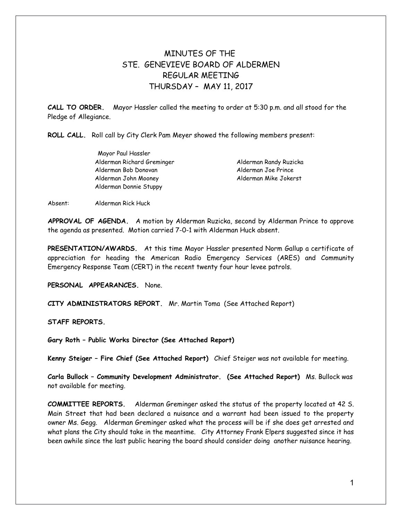## MINUTES OF THE STE. GENEVIEVE BOARD OF ALDERMEN REGULAR MEETING THURSDAY – MAY 11, 2017

**CALL TO ORDER.** Mayor Hassler called the meeting to order at 5:30 p.m. and all stood for the Pledge of Allegiance.

**ROLL CALL.** Roll call by City Clerk Pam Meyer showed the following members present:

Mayor Paul Hassler Alderman Richard Greminger Alderman Randy Ruzicka Alderman Bob Donovan Alderman Joe Prince Alderman John Mooney Alderman Mike Jokerst Alderman Donnie Stuppy

Absent: Alderman Rick Huck

**APPROVAL OF AGENDA.** A motion by Alderman Ruzicka, second by Alderman Prince to approve the agenda as presented. Motion carried 7-0-1 with Alderman Huck absent.

**PRESENTATION/AWARDS.** At this time Mayor Hassler presented Norm Gallup a certificate of appreciation for heading the American Radio Emergency Services (ARES) and Community Emergency Response Team (CERT) in the recent twenty four hour levee patrols.

**PERSONAL APPEARANCES.** None.

**CITY ADMINISTRATORS REPORT.** Mr. Martin Toma (See Attached Report)

**STAFF REPORTS.** 

**Gary Roth – Public Works Director (See Attached Report)** 

**Kenny Steiger – Fire Chief (See Attached Report)** Chief Steiger was not available for meeting.

**Carla Bullock – Community Development Administrator. (See Attached Report)** Ms. Bullock was not available for meeting.

**COMMITTEE REPORTS.** Alderman Greminger asked the status of the property located at 42 S. Main Street that had been declared a nuisance and a warrant had been issued to the property owner Ms. Gegg. Alderman Greminger asked what the process will be if she does get arrested and what plans the City should take in the meantime. City Attorney Frank Elpers suggested since it has been awhile since the last public hearing the board should consider doing another nuisance hearing.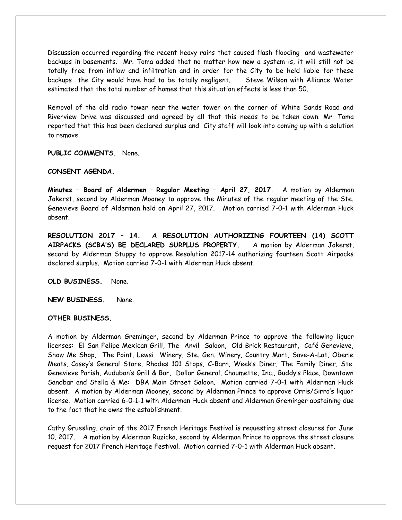Discussion occurred regarding the recent heavy rains that caused flash flooding and wastewater backups in basements. Mr. Toma added that no matter how new a system is, it will still not be totally free from inflow and infiltration and in order for the City to be held liable for these backups the City would have had to be totally negligent. Steve Wilson with Alliance Water estimated that the total number of homes that this situation effects is less than 50.

Removal of the old radio tower near the water tower on the corner of White Sands Road and Riverview Drive was discussed and agreed by all that this needs to be taken down. Mr. Toma reported that this has been declared surplus and City staff will look into coming up with a solution to remove.

**PUBLIC COMMENTS.** None.

## **CONSENT AGENDA.**

**Minutes – Board of Aldermen** – **Regular Meeting – April 27, 2017.** A motion by Alderman Jokerst, second by Alderman Mooney to approve the Minutes of the regular meeting of the Ste. Genevieve Board of Alderman held on April 27, 2017. Motion carried 7-0-1 with Alderman Huck absent.

**RESOLUTION 2017 – 14. A RESOLUTION AUTHORIZING FOURTEEN (14) SCOTT AIRPACKS (SCBA'S) BE DECLARED SURPLUS PROPERTY.** A motion by Alderman Jokerst, second by Alderman Stuppy to approve Resolution 2017-14 authorizing fourteen Scott Airpacks declared surplus. Motion carried 7-0-1 with Alderman Huck absent.

**OLD BUSINESS.** None.

**NEW BUSINESS.** None.

## **OTHER BUSINESS.**

A motion by Alderman Greminger, second by Alderman Prince to approve the following liquor licenses: El San Felipe Mexican Grill, The Anvil Saloon, Old Brick Restaurant, Café Genevieve, Show Me Shop, The Point, Lewsi Winery, Ste. Gen. Winery, Country Mart, Save-A-Lot, Oberle Meats, Casey's General Store, Rhodes 101 Stops, C-Barn, Week's Diner, The Family Diner, Ste. Genevieve Parish, Audubon's Grill & Bar, Dollar General, Chaumette, Inc., Buddy's Place, Downtown Sandbar and Stella & Me: DBA Main Street Saloon. Motion carried 7-0-1 with Alderman Huck absent. A motion by Alderman Mooney, second by Alderman Prince to approve Orris/Sirro's liquor license. Motion carried 6-0-1-1 with Alderman Huck absent and Alderman Greminger abstaining due to the fact that he owns the establishment.

Cathy Gruesling, chair of the 2017 French Heritage Festival is requesting street closures for June 10, 2017. A motion by Alderman Ruzicka, second by Alderman Prince to approve the street closure request for 2017 French Heritage Festival. Motion carried 7-0-1 with Alderman Huck absent.